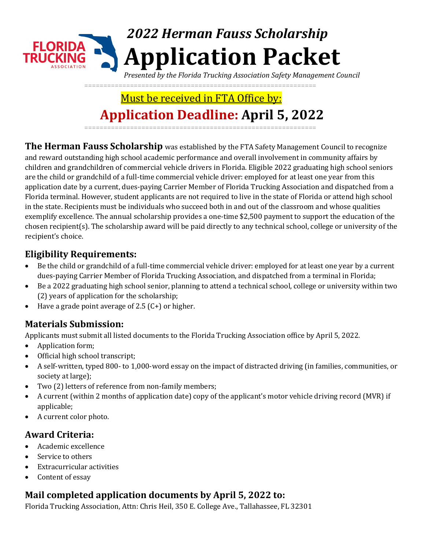# *2022 Herman Fauss Scholarship* **Application Packet**

*Presented by the Florida Trucking Association Safety Management Council*

=============================================================

## Must be received in FTA Office by: **Application Deadline:**  $f(x) = 2022$ =============================================================

**The Herman Fauss Scholarship** was established by the FTA Safety Management Council to recognize and reward outstanding high school academic performance and overall involvement in community affairs by children and grandchildren of commercial vehicle drivers in Florida. Eligible 2022 graduating high school seniors are the child or grandchild of a full-time commercial vehicle driver: employed for at least one year from this application date by a current, dues-paying Carrier Member of Florida Trucking Association and dispatched from a Florida terminal. However, student applicants are not required to live in the state of Florida or attend high school in the state. Recipients must be individuals who succeed both in and out of the classroom and whose qualities exemplify excellence. The annual scholarship provides a one-time \$2,500 payment to support the education of the chosen recipient(s). The scholarship award will be paid directly to any technical school, college or university of the recipient's choice.

#### **Eligibility Requirements:**

- **x** Be the child or grandchild of a full-time commercial vehicle driver: employed for at least one year by a current dues-paying Carrier Member of Florida Trucking Association, and dispatched from a terminal in Florida;
- x Be a 2022 graduating high school senior, planning to attend a technical school, college or university within two (2) years of application for the scholarship;
- x Have a grade point average of 2.5 (C+) or higher.

#### **Materials Submission:**

Applicants must submit all listed documents to the Florida Trucking Association office by April 5, 2022.

- x Application form;
- x Official high school transcript;
- x A self-written, typed 800- to 1,000-word essay on the impact of distracted driving (in families, communities, or society at large);
- x Two (2) letters of reference from non-family members;
- x A current (within 2 months of application date) copy of the applicant's motor vehicle driving record (MVR) if applicable;
- x A current color photo.

#### **Award Criteria:**

- **x** Academic excellence
- x Service to others
- x Extracurricular activities
- x Content of essay

### **Mail completed application documents by**  $\oint u$ **, 2022 to:**

Florida Trucking Association, Attn: Chris Heil, 350 E. College Ave., Tallahassee, FL 32301